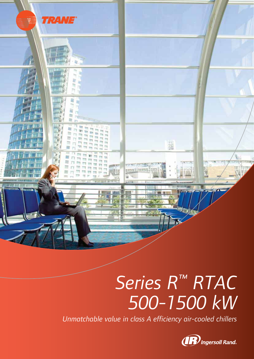

# *Series R™ RTAC 500-1500 kW*

*Unmatchable value in class A efficiency air-cooled chillers*

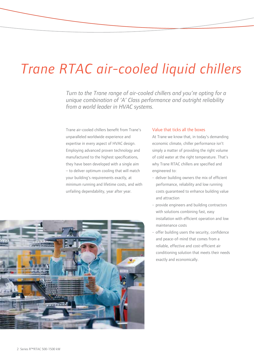# *Trane RTAC air-cooled liquid chillers*

*Turn to the Trane range of air-cooled chillers and you're opting for a unique combination of 'A' Class performance and outright reliability from a world leader in HVAC systems.*

Trane air-cooled chillers benefit from Trane's unparalleled worldwide experience and expertise in every aspect of HVAC design. Employing advanced proven technology and manufactured to the highest specifications, they have been developed with a single aim – to deliver optimum cooling that will match your building's requirements exactly, at minimum running and lifetime costs, and with unfailing dependability, year after year.



At Trane we know that, in today's demanding economic climate, chiller performance isn't simply a matter of providing the right volume of cold water at the right temperature. That's why Trane RTAC chillers are specified and engineered to:

- deliver building owners the mix of efficient performance, reliability and low running costs guaranteed to enhance building value and attraction
- provide engineers and building contractors with solutions combining fast, easy installation with efficient operation and low maintenance costs
- offer building users the security, confidence and peace-of-mind that comes from a reliable, effective and cost-efficient air conditioning solution that meets their needs exactly and economically.

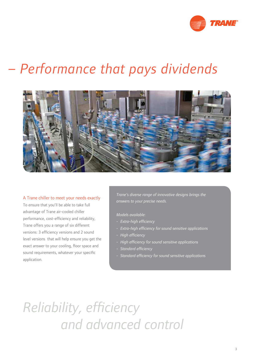

# *– Performance that pays dividends*



## A Trane chiller to meet your needs exactly

To ensure that you'll be able to take full advantage of Trane air-cooled chiller performance, cost-efficiency and reliability, Trane offers you a range of six different versions: 3 efficiency versions and 2 sound level versions that will help ensure you get the exact answer to your cooling, floor space and sound requirements, whatever your specific application.

*Trane's diverse range of innovative designs brings the answers to your precise needs.*

*Models available:*

- Extra-high efficiency
- Extra-high efficiency for sound sensitive applications
- *High effi ciency*
- *High effi ciency for sound sensitive applications*
- **Standard efficiency**
- Standard efficiency for sound sensitive applications

*Reliability, efficiency and advanced control*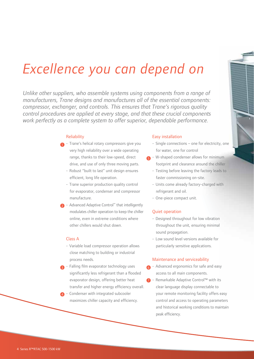# *Excellence you can depend on*

*Unlike other suppliers, who assemble systems using components from a range of manufacturers, Trane designs and manufactures all of the essential components: compressor, exchanger, and controls. This ensures that Trane's rigorous quality control procedures are applied at every stage, and that these crucial components work perfectly as a complete system to offer superior, dependable performance.*

### **Reliability**

- **1** Trane's helical rotary compressors give you very high reliability over a wide operating range, thanks to their low-speed, direct drive, and use of only three moving parts.
	- Robust "built to last" unit design ensures efficient, long life operation.
	- Trane superior production quality control for evaporator, condenser and compressor manufacture.
- Advanced Adaptive Control™ that intelligently modulates chiller operation to keep the chiller online, even in extreme conditions where other chillers would shut down. 2

# Class A

- Variable load compressor operation allows close matching to building or industrial process needs.
- $_3$  Falling film evaporator technology uses significantly less refrigerant than a flooded evaporator design, offering better heat transfer and higher energy efficiency overall.
- 4 Condenser with integrated subcooler maximizes chiller capacity and efficiency.

## Easy installation

- Single connections one for electricity, one for water, one for control
- 5 W-shaped condenser allows for minimum footprint and clearance around the chiller
	- Testing before leaving the factory leads to faster commissioning on-site.
	- Units come already factory-charged with refrigerant and oil.
	- One-piece compact unit.

### Quiet operation

- Designed throughout for low vibration throughout the unit, ensuring minimal sound propagation.
- Low sound level versions available for particularly sensitive applications.

#### Maintenance and serviceability

- 6 Advanced ergonomics for safe and easy access to all main components.
- 7 Remarkable Adaptive Control™ with its clear language display connectable to your remote monitoring facility offers easy control and access to operating parameters and historical working conditions to maintain peak efficiency.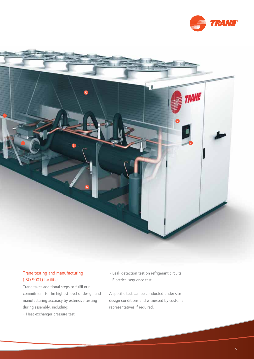



# Trane testing and manufacturing (ISO 9001) facilities

Trane takes additional steps to fulfil our commitment to the highest level of design and manufacturing accuracy by extensive testing during assembly, including:

• Heat exchanger pressure test

- Leak detection test on refrigerant circuits
- Electrical sequence test

A specific test can be conducted under site design conditions and witnessed by customer representatives if required.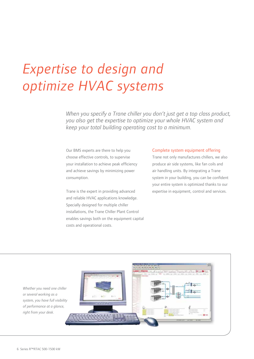# *Expertise to design and optimize HVAC systems*

*When you specify a Trane chiller you don't just get a top class product, you also get the expertise to optimize your whole HVAC system and keep your total building operating cost to a minimum.*

Our BMS experts are there to help you choose effective controls, to supervise your installation to achieve peak efficiency and achieve savings by minimizing power consumption.

Trane is the expert in providing advanced and reliable HVAC applications knowledge. Specially designed for multiple chiller installations, the Trane Chiller Plant Control enables savings both on the equipment capital costs and operational costs.

### Complete system equipment offering

Trane not only manufactures chillers, we also produce air side systems, like fan coils and air handling units. By integrating a Trane system in your building, you can be confident your entire system is optimized thanks to our expertise in equipment, control and services.



*Whether you need one chiller or several working as a system, you have full visibility of performance at a glance, right from your desk.*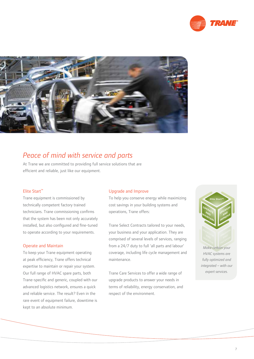



# *Peace of mind with service and parts*

At Trane we are committed to providing full service solutions that are efficient and reliable, just like our equipment.

# Elite Start™

Trane equipment is commissioned by technically competent factory trained technicians. Trane commissioning confirms that the system has been not only accurately installed, but also configured and fine-tuned to operate according to your requirements.

# Operate and Maintain

To keep your Trane equipment operating at peak efficiency, Trane offers technical expertise to maintain or repair your system. Our full range of HVAC spare parts, both Trane-specific and generic, coupled with our advanced logistics network, ensures a quick and reliable service. The result? Even in the rare event of equipment failure, downtime is kept to an absolute minimum.

# Upgrade and Improve

To help you conserve energy while maximizing cost savings in your building systems and operations, Trane offers:

Trane Select Contracts tailored to your needs, your business and your application. They are comprised of several levels of services, ranging from a 24/7 duty to full 'all parts and labour' coverage, including life cycle management and maintenance.

Trane Care Services to offer a wide range of upgrade products to answer your needs in terms of reliability, energy conservation, and respect of the environment.



*Make certain your HVAC systems are fully optimized and integrated – with our expert services.*